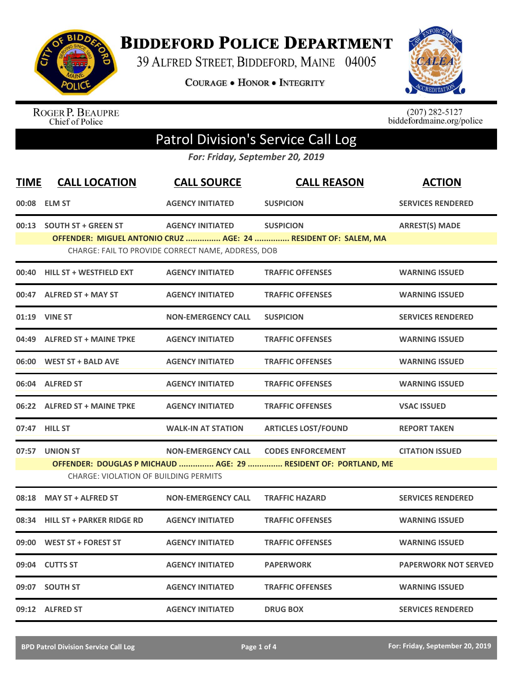

**BIDDEFORD POLICE DEPARTMENT** 

39 ALFRED STREET, BIDDEFORD, MAINE 04005

**COURAGE . HONOR . INTEGRITY** 



ROGER P. BEAUPRE<br>Chief of Police

 $(207)$  282-5127<br>biddefordmaine.org/police

## Patrol Division's Service Call Log

*For: Friday, September 20, 2019*

| <b>TIME</b> | <b>CALL LOCATION</b>                                                                                            | <b>CALL SOURCE</b>                                 | <b>CALL REASON</b>                                             | <b>ACTION</b>               |  |
|-------------|-----------------------------------------------------------------------------------------------------------------|----------------------------------------------------|----------------------------------------------------------------|-----------------------------|--|
|             | 00:08 ELM ST                                                                                                    | <b>AGENCY INITIATED</b>                            | <b>SUSPICION</b>                                               | <b>SERVICES RENDERED</b>    |  |
|             | 00:13 SOUTH ST + GREEN ST                                                                                       | <b>AGENCY INITIATED</b>                            | <b>SUSPICION</b>                                               | <b>ARREST(S) MADE</b>       |  |
|             |                                                                                                                 | CHARGE: FAIL TO PROVIDE CORRECT NAME, ADDRESS, DOB | OFFENDER: MIGUEL ANTONIO CRUZ  AGE: 24  RESIDENT OF: SALEM, MA |                             |  |
| 00:40       | <b>HILL ST + WESTFIELD EXT</b>                                                                                  | <b>AGENCY INITIATED</b>                            | <b>TRAFFIC OFFENSES</b>                                        | <b>WARNING ISSUED</b>       |  |
|             | 00:47 ALFRED ST + MAY ST                                                                                        | <b>AGENCY INITIATED</b>                            | <b>TRAFFIC OFFENSES</b>                                        | <b>WARNING ISSUED</b>       |  |
| 01:19       | <b>VINE ST</b>                                                                                                  | <b>NON-EMERGENCY CALL</b>                          | <b>SUSPICION</b>                                               | <b>SERVICES RENDERED</b>    |  |
|             | 04:49 ALFRED ST + MAINE TPKE                                                                                    | <b>AGENCY INITIATED</b>                            | <b>TRAFFIC OFFENSES</b>                                        | <b>WARNING ISSUED</b>       |  |
| 06:00       | <b>WEST ST + BALD AVE</b>                                                                                       | <b>AGENCY INITIATED</b>                            | <b>TRAFFIC OFFENSES</b>                                        | <b>WARNING ISSUED</b>       |  |
|             | 06:04 ALFRED ST                                                                                                 | <b>AGENCY INITIATED</b>                            | <b>TRAFFIC OFFENSES</b>                                        | <b>WARNING ISSUED</b>       |  |
|             | 06:22 ALFRED ST + MAINE TPKE                                                                                    | <b>AGENCY INITIATED</b>                            | <b>TRAFFIC OFFENSES</b>                                        | <b>VSAC ISSUED</b>          |  |
|             | 07:47 HILL ST                                                                                                   | <b>WALK-IN AT STATION</b>                          | <b>ARTICLES LOST/FOUND</b>                                     | <b>REPORT TAKEN</b>         |  |
|             | 07:57 UNION ST                                                                                                  | <b>NON-EMERGENCY CALL</b>                          | <b>CODES ENFORCEMENT</b>                                       | <b>CITATION ISSUED</b>      |  |
|             | OFFENDER: DOUGLAS P MICHAUD  AGE: 29  RESIDENT OF: PORTLAND, ME<br><b>CHARGE: VIOLATION OF BUILDING PERMITS</b> |                                                    |                                                                |                             |  |
| 08:18       | <b>MAY ST + ALFRED ST</b>                                                                                       | <b>NON-EMERGENCY CALL</b>                          | <b>TRAFFIC HAZARD</b>                                          | <b>SERVICES RENDERED</b>    |  |
| 08:34       | <b>HILL ST + PARKER RIDGE RD</b>                                                                                | <b>AGENCY INITIATED</b>                            | <b>TRAFFIC OFFENSES</b>                                        | <b>WARNING ISSUED</b>       |  |
| 09:00       | <b>WEST ST + FOREST ST</b>                                                                                      | <b>AGENCY INITIATED</b>                            | <b>TRAFFIC OFFENSES</b>                                        | <b>WARNING ISSUED</b>       |  |
| 09:04       | <b>CUTTS ST</b>                                                                                                 | <b>AGENCY INITIATED</b>                            | <b>PAPERWORK</b>                                               | <b>PAPERWORK NOT SERVED</b> |  |
| 09:07       | <b>SOUTH ST</b>                                                                                                 | <b>AGENCY INITIATED</b>                            | <b>TRAFFIC OFFENSES</b>                                        | <b>WARNING ISSUED</b>       |  |
|             | 09:12 ALFRED ST                                                                                                 | <b>AGENCY INITIATED</b>                            | <b>DRUG BOX</b>                                                | <b>SERVICES RENDERED</b>    |  |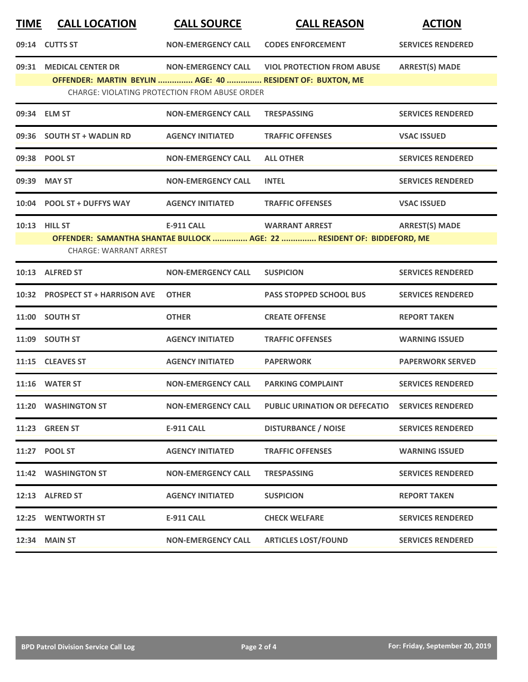| <b>TIME</b> | <b>CALL LOCATION</b>                                                                 | <b>CALL SOURCE</b>                                   | <b>CALL REASON</b>                                                      | <b>ACTION</b>            |
|-------------|--------------------------------------------------------------------------------------|------------------------------------------------------|-------------------------------------------------------------------------|--------------------------|
|             | 09:14 CUTTS ST                                                                       | <b>NON-EMERGENCY CALL</b>                            | <b>CODES ENFORCEMENT</b>                                                | <b>SERVICES RENDERED</b> |
|             | 09:31 MEDICAL CENTER DR<br>OFFENDER: MARTIN BEYLIN  AGE: 40  RESIDENT OF: BUXTON, ME | <b>NON-EMERGENCY CALL</b>                            | <b>VIOL PROTECTION FROM ABUSE</b>                                       | <b>ARREST(S) MADE</b>    |
|             |                                                                                      | <b>CHARGE: VIOLATING PROTECTION FROM ABUSE ORDER</b> |                                                                         |                          |
|             | 09:34 ELM ST                                                                         | <b>NON-EMERGENCY CALL</b>                            | <b>TRESPASSING</b>                                                      | <b>SERVICES RENDERED</b> |
|             | 09:36 SOUTH ST + WADLIN RD                                                           | <b>AGENCY INITIATED</b>                              | <b>TRAFFIC OFFENSES</b>                                                 | <b>VSAC ISSUED</b>       |
|             | 09:38 POOL ST                                                                        | <b>NON-EMERGENCY CALL</b>                            | <b>ALL OTHER</b>                                                        | <b>SERVICES RENDERED</b> |
| 09:39       | <b>MAY ST</b>                                                                        | <b>NON-EMERGENCY CALL</b>                            | <b>INTEL</b>                                                            | <b>SERVICES RENDERED</b> |
| 10:04       | <b>POOL ST + DUFFYS WAY</b>                                                          | <b>AGENCY INITIATED</b>                              | <b>TRAFFIC OFFENSES</b>                                                 | <b>VSAC ISSUED</b>       |
|             | 10:13 HILL ST                                                                        | <b>E-911 CALL</b>                                    | <b>WARRANT ARREST</b>                                                   | <b>ARREST(S) MADE</b>    |
|             | <b>CHARGE: WARRANT ARREST</b>                                                        |                                                      | OFFENDER: SAMANTHA SHANTAE BULLOCK  AGE: 22  RESIDENT OF: BIDDEFORD, ME |                          |
|             | 10:13 ALFRED ST                                                                      | <b>NON-EMERGENCY CALL</b>                            | <b>SUSPICION</b>                                                        | <b>SERVICES RENDERED</b> |
|             | 10:32 PROSPECT ST + HARRISON AVE                                                     | <b>OTHER</b>                                         | <b>PASS STOPPED SCHOOL BUS</b>                                          | <b>SERVICES RENDERED</b> |
| 11:00       | <b>SOUTH ST</b>                                                                      | <b>OTHER</b>                                         | <b>CREATE OFFENSE</b>                                                   | <b>REPORT TAKEN</b>      |
|             | 11:09 SOUTH ST                                                                       | <b>AGENCY INITIATED</b>                              | <b>TRAFFIC OFFENSES</b>                                                 | <b>WARNING ISSUED</b>    |
|             | 11:15 CLEAVES ST                                                                     | <b>AGENCY INITIATED</b>                              | <b>PAPERWORK</b>                                                        | <b>PAPERWORK SERVED</b>  |
|             | 11:16 WATER ST                                                                       | <b>NON-EMERGENCY CALL</b>                            | <b>PARKING COMPLAINT</b>                                                | <b>SERVICES RENDERED</b> |
|             | 11:20 WASHINGTON ST                                                                  | <b>NON-EMERGENCY CALL</b>                            | PUBLIC URINATION OR DEFECATIO                                           | <b>SERVICES RENDERED</b> |
|             | 11:23 GREEN ST                                                                       | <b>E-911 CALL</b>                                    | <b>DISTURBANCE / NOISE</b>                                              | <b>SERVICES RENDERED</b> |
|             | 11:27 POOL ST                                                                        | <b>AGENCY INITIATED</b>                              | <b>TRAFFIC OFFENSES</b>                                                 | <b>WARNING ISSUED</b>    |
|             | 11:42 WASHINGTON ST                                                                  | <b>NON-EMERGENCY CALL</b>                            | <b>TRESPASSING</b>                                                      | <b>SERVICES RENDERED</b> |
|             | 12:13 ALFRED ST                                                                      | <b>AGENCY INITIATED</b>                              | <b>SUSPICION</b>                                                        | <b>REPORT TAKEN</b>      |
|             | 12:25 WENTWORTH ST                                                                   | <b>E-911 CALL</b>                                    | <b>CHECK WELFARE</b>                                                    | <b>SERVICES RENDERED</b> |
|             | 12:34 MAIN ST                                                                        | <b>NON-EMERGENCY CALL</b>                            | <b>ARTICLES LOST/FOUND</b>                                              | <b>SERVICES RENDERED</b> |
|             |                                                                                      |                                                      |                                                                         |                          |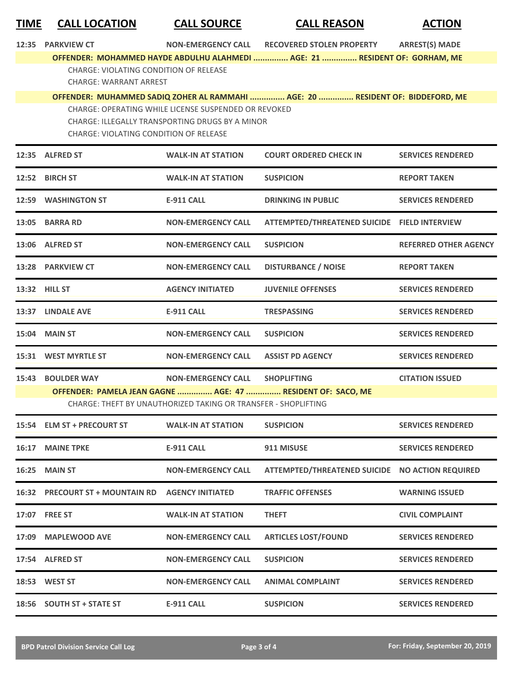| <b>TIME</b> | <b>CALL LOCATION</b>                                                           | <b>CALL SOURCE</b>                                                                                      | <b>CALL REASON</b>                                                             | <b>ACTION</b>                |
|-------------|--------------------------------------------------------------------------------|---------------------------------------------------------------------------------------------------------|--------------------------------------------------------------------------------|------------------------------|
| 12:35       | <b>PARKVIEW CT</b>                                                             |                                                                                                         | NON-EMERGENCY CALL RECOVERED STOLEN PROPERTY                                   | <b>ARREST(S) MADE</b>        |
|             |                                                                                |                                                                                                         | OFFENDER: MOHAMMED HAYDE ABDULHU ALAHMEDI  AGE: 21  RESIDENT OF: GORHAM, ME    |                              |
|             | <b>CHARGE: VIOLATING CONDITION OF RELEASE</b><br><b>CHARGE: WARRANT ARREST</b> |                                                                                                         |                                                                                |                              |
|             |                                                                                |                                                                                                         | OFFENDER: MUHAMMED SADIQ ZOHER AL RAMMAHI  AGE: 20  RESIDENT OF: BIDDEFORD, ME |                              |
|             |                                                                                | CHARGE: OPERATING WHILE LICENSE SUSPENDED OR REVOKED<br>CHARGE: ILLEGALLY TRANSPORTING DRUGS BY A MINOR |                                                                                |                              |
|             | <b>CHARGE: VIOLATING CONDITION OF RELEASE</b>                                  |                                                                                                         |                                                                                |                              |
|             | 12:35 ALFRED ST                                                                | <b>WALK-IN AT STATION</b>                                                                               | <b>COURT ORDERED CHECK IN</b>                                                  | <b>SERVICES RENDERED</b>     |
|             | 12:52 BIRCH ST                                                                 | <b>WALK-IN AT STATION</b>                                                                               | <b>SUSPICION</b>                                                               | <b>REPORT TAKEN</b>          |
|             | 12:59 WASHINGTON ST                                                            | <b>E-911 CALL</b>                                                                                       | <b>DRINKING IN PUBLIC</b>                                                      | <b>SERVICES RENDERED</b>     |
|             | 13:05 BARRA RD                                                                 | <b>NON-EMERGENCY CALL</b>                                                                               | ATTEMPTED/THREATENED SUICIDE FIELD INTERVIEW                                   |                              |
|             | 13:06 ALFRED ST                                                                | <b>NON-EMERGENCY CALL</b>                                                                               | <b>SUSPICION</b>                                                               | <b>REFERRED OTHER AGENCY</b> |
|             | 13:28 PARKVIEW CT                                                              | <b>NON-EMERGENCY CALL</b>                                                                               | <b>DISTURBANCE / NOISE</b>                                                     | <b>REPORT TAKEN</b>          |
|             | 13:32 HILL ST                                                                  | <b>AGENCY INITIATED</b>                                                                                 | <b>JUVENILE OFFENSES</b>                                                       | <b>SERVICES RENDERED</b>     |
|             | 13:37 LINDALE AVE                                                              | <b>E-911 CALL</b>                                                                                       | <b>TRESPASSING</b>                                                             | <b>SERVICES RENDERED</b>     |
|             | 15:04 MAIN ST                                                                  | <b>NON-EMERGENCY CALL</b>                                                                               | <b>SUSPICION</b>                                                               | <b>SERVICES RENDERED</b>     |
|             | 15:31 WEST MYRTLE ST                                                           | <b>NON-EMERGENCY CALL</b>                                                                               | <b>ASSIST PD AGENCY</b>                                                        | <b>SERVICES RENDERED</b>     |
|             | 15:43 BOULDER WAY                                                              | <b>NON-EMERGENCY CALL</b>                                                                               | <b>SHOPLIFTING</b>                                                             | <b>CITATION ISSUED</b>       |
|             |                                                                                |                                                                                                         | OFFENDER: PAMELA JEAN GAGNE  AGE: 47  RESIDENT OF: SACO, ME                    |                              |
|             |                                                                                | CHARGE: THEFT BY UNAUTHORIZED TAKING OR TRANSFER - SHOPLIFTING                                          |                                                                                |                              |
|             | 15:54 ELM ST + PRECOURT ST                                                     | <b>WALK-IN AT STATION</b>                                                                               | <b>SUSPICION</b>                                                               | <b>SERVICES RENDERED</b>     |
|             | 16:17 MAINE TPKE                                                               | <b>E-911 CALL</b>                                                                                       | 911 MISUSE                                                                     | <b>SERVICES RENDERED</b>     |
| 16:25       | <b>MAIN ST</b>                                                                 | <b>NON-EMERGENCY CALL</b>                                                                               | <b>ATTEMPTED/THREATENED SUICIDE</b>                                            | <b>NO ACTION REQUIRED</b>    |
|             | <b>16:32 PRECOURT ST + MOUNTAIN RD</b>                                         | <b>AGENCY INITIATED</b>                                                                                 | <b>TRAFFIC OFFENSES</b>                                                        | <b>WARNING ISSUED</b>        |
|             | 17:07 FREE ST                                                                  | <b>WALK-IN AT STATION</b>                                                                               | <b>THEFT</b>                                                                   | <b>CIVIL COMPLAINT</b>       |
| 17:09       | <b>MAPLEWOOD AVE</b>                                                           | <b>NON-EMERGENCY CALL</b>                                                                               | <b>ARTICLES LOST/FOUND</b>                                                     | <b>SERVICES RENDERED</b>     |
|             | 17:54 ALFRED ST                                                                | <b>NON-EMERGENCY CALL</b>                                                                               | <b>SUSPICION</b>                                                               | <b>SERVICES RENDERED</b>     |
|             | 18:53 WEST ST                                                                  | <b>NON-EMERGENCY CALL</b>                                                                               | <b>ANIMAL COMPLAINT</b>                                                        | <b>SERVICES RENDERED</b>     |
|             | 18:56 SOUTH ST + STATE ST                                                      | <b>E-911 CALL</b>                                                                                       | <b>SUSPICION</b>                                                               | <b>SERVICES RENDERED</b>     |